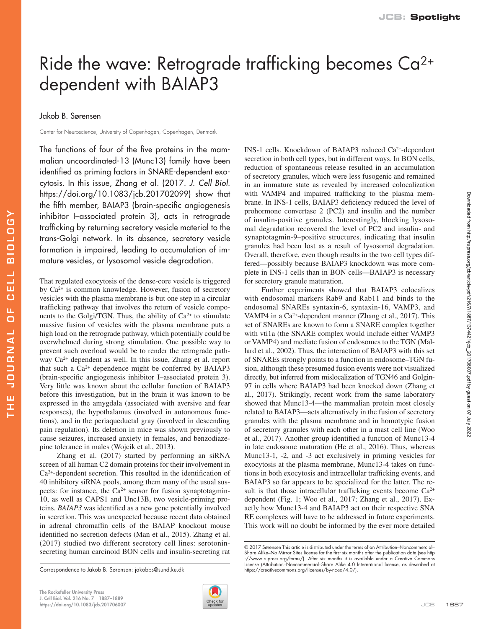## Ride the wave: Retrograde trafficking becomes Ca2+ dependent with BAIAP3

Jakob B. Sørensen

THE JOURNAL OF CELL BIOLOGY

**JOURNAL** 

ш H

ELL

 $\overline{c}$ ū.  $\overline{a}$ 

**A501018** 

Center for Neuroscience, University of Copenhagen, Copenhagen, Denmark

The functions of four of the five proteins in the mammalian uncoordinated-13 (Munc13) family have been identified as priming factors in SNARE-dependent exocytosis. In this issue, Zhang et al. (2017. *J. Cell Biol.* [https://doi.org/10.1083/jcb.201702099\)](https://doi.org/10.1083/jcb.201702099) show that the fifth member, BAIAP3 (brain-specific angiogenesis inhibitor I–associated protein 3), acts in retrograde trafficking by returning secretory vesicle material to the trans-Golgi network. In its absence, secretory vesicle formation is impaired, leading to accumulation of immature vesicles, or lysosomal vesicle degradation.

That regulated exocytosis of the dense-core vesicle is triggered by Ca2+ is common knowledge. However, fusion of secretory vesicles with the plasma membrane is but one step in a circular trafficking pathway that involves the return of vesicle components to the Golgi/TGN. Thus, the ability of  $Ca^{2+}$  to stimulate massive fusion of vesicles with the plasma membrane puts a high load on the retrograde pathway, which potentially could be overwhelmed during strong stimulation. One possible way to prevent such overload would be to render the retrograde pathway Ca2+ dependent as well. In this issue, Zhang et al. report that such a Ca2+ dependence might be conferred by BAIAP3 (brain-specific angiogenesis inhibitor I–associated protein 3). Very little was known about the cellular function of BAIAP3 before this investigation, but in the brain it was known to be expressed in the amygdala (associated with aversive and fear responses), the hypothalamus (involved in autonomous functions), and in the periaqueductal gray (involved in descending pain regulation). Its deletion in mice was shown previously to cause seizures, increased anxiety in females, and benzodiazepine tolerance in males [\(Wojcik et al., 2013](#page-1-0)).

[Zhang et al. \(2017\)](#page-2-0) started by performing an siRNA screen of all human C2 domain proteins for their involvement in Ca2+-dependent secretion. This resulted in the identification of 40 inhibitory siRNA pools, among them many of the usual suspects: for instance, the  $Ca^{2+}$  sensor for fusion synaptotagmin-10, as well as CAPS1 and Unc13B, two vesicle-priming proteins. *BAIAP3* was identified as a new gene potentially involved in secretion. This was unexpected because recent data obtained in adrenal chromaffin cells of the BAIAP knockout mouse identified no secretion defects ([Man et al., 2015](#page-1-1)). [Zhang et al.](#page-2-0)  [\(2017\)](#page-2-0) studied two different secretory cell lines: serotoninsecreting human carcinoid BON cells and insulin-secreting rat



INS-1 cells. Knockdown of BAIAP3 reduced Ca2+-dependent secretion in both cell types, but in different ways. In BON cells, reduction of spontaneous release resulted in an accumulation of secretory granules, which were less fusogenic and remained in an immature state as revealed by increased colocalization with VAMP4 and impaired trafficking to the plasma membrane. In INS-1 cells, BAIAP3 deficiency reduced the level of prohormone convertase 2 (PC2) and insulin and the number of insulin-positive granules. Interestingly, blocking lysosomal degradation recovered the level of PC2 and insulin- and synaptotagmin-9–positive structures, indicating that insulin granules had been lost as a result of lysosomal degradation. Overall, therefore, even though results in the two cell types differed—possibly because BAIAP3 knockdown was more complete in INS-1 cells than in BON cells—BAIAP3 is necessary for secretory granule maturation.

Further experiments showed that BAIAP3 colocalizes with endosomal markers Rab9 and Rab11 and binds to the endosomal SNAREs syntaxin-6, syntaxin-16, VAMP3, and VAMP4 in a Ca2+-dependent manner ([Zhang et al., 2017](#page-2-0)). This set of SNAREs are known to form a SNARE complex together with vti1a (the SNARE complex would include either VAMP3 or VAMP4) and mediate fusion of endosomes to the TGN ([Mal](#page-1-2)[lard et al., 2002\)](#page-1-2). Thus, the interaction of BAIAP3 with this set of SNAREs strongly points to a function in endosome–TGN fusion, although these presumed fusion events were not visualized directly, but inferred from mislocalization of TGN46 and Golgin-97 in cells where BAIAP3 had been knocked down ([Zhang et](#page-2-0) [al., 2017\)](#page-2-0). Strikingly, recent work from the same laboratory showed that Munc13-4—the mammalian protein most closely related to BAIAP3—acts alternatively in the fusion of secretory granules with the plasma membrane and in homotypic fusion of secretory granules with each other in a mast cell line [\(Woo](#page-2-1) [et al., 2017](#page-2-1)). Another group identified a function of Munc13-4 in late endosome maturation [\(He et al., 2016\)](#page-1-3). Thus, whereas Munc13-1, -2, and -3 act exclusively in priming vesicles for exocytosis at the plasma membrane, Munc13-4 takes on functions in both exocytosis and intracellular trafficking events, and BAIAP3 so far appears to be specialized for the latter. The result is that those intracellular trafficking events become  $Ca^{2+}$ dependent ([Fig. 1;](#page-1-4) [Woo et al., 2017;](#page-2-1) [Zhang et al., 2017](#page-2-0)). Exactly how Munc13-4 and BAIAP3 act on their respective SNA RE complexes will have to be addressed in future experiments. This work will no doubt be informed by the ever more detailed

Correspondence to Jakob B. Sørensen: [jakobbs@sund.ku.dk](mailto:) [https://creativecommons.org/licenses/by-nc-sa/4.0](https://creativecommons.org/licenses/by-nc-sa/4.0/)/).

<sup>© 2017</sup> Sørensen This article is distributed under the terms of an Attribution–Noncommercial– Share Alike–No Mirror Sites license for the first six months after the publication date (see [http](http://www.rupress.org/terms/) [://www.rupress.org/terms](http://www.rupress.org/terms/)/). After six months it is available under a Creative Commons License (Attribution–Noncommercial–Share Alike 4.0 International license, as described at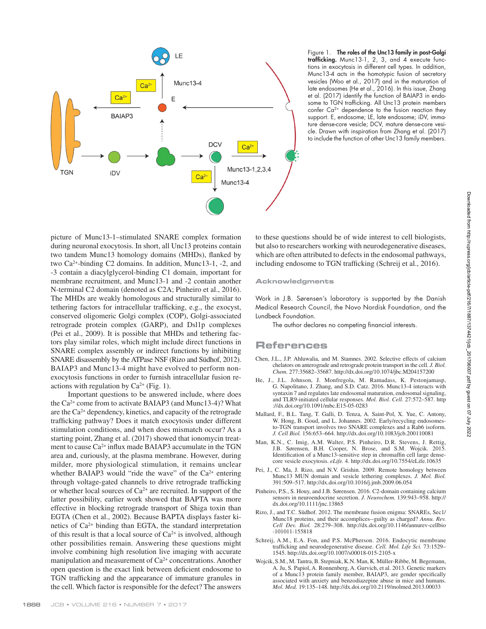

<span id="page-1-4"></span>Figure 1. The roles of the Unc13 family in post-Golgi trafficking. Munc13-1, 2, 3, and 4 execute functions in exocytosis in different cell types. In addition, Munc13-4 acts in the homotypic fusion of secretory vesicles [\(Woo et al., 2017\)](#page-2-1) and in the maturation of late endosomes ([He et al., 2016](#page-1-3)). In this issue, [Zhang](#page-2-0) [et al. \(2017\)](#page-2-0) identify the function of BAIAP3 in endosome to TGN trafficking. All Unc13 protein members confer Ca2+ dependence to the fusion reaction they support. E, endosome; LE, late endosome; iDV, immature dense-core vesicle; DCV, mature dense-core vesicle. Drawn with inspiration from [Zhang et al. \(2017\)](#page-2-0) to include the function of other Unc13 family members.

picture of Munc13-1–stimulated SNARE complex formation during neuronal exocytosis. In short, all Unc13 proteins contain two tandem Munc13 homology domains (MHDs), flanked by two Ca2+-binding C2 domains. In addition, Munc13-1, -2, and -3 contain a diacylglycerol-binding C1 domain, important for membrane recruitment, and Munc13-1 and -2 contain another N-terminal C2 domain (denoted as C2A; [Pinheiro et al., 2016](#page-1-5)). The MHDs are weakly homologous and structurally similar to tethering factors for intracellular trafficking, e.g., the exocyst, conserved oligomeric Golgi complex (COP), Golgi-associated retrograde protein complex (GARP), and Dsl1p complexes [\(Pei et al., 2009\)](#page-1-6). It is possible that MHDs and tethering factors play similar roles, which might include direct functions in SNARE complex assembly or indirect functions by inhibiting SNARE disassembly by the ATPase NSF [\(Rizo and Südhof, 2012\)](#page-1-7). BAIAP3 and Munc13-4 might have evolved to perform nonexocytosis functions in order to furnish intracellular fusion reactions with regulation by  $Ca^{2+}$  ([Fig. 1\)](#page-1-4).

Important questions to be answered include, where does the  $Ca^{2+}$  come from to activate BAIAP3 (and Munc13-4)? What are the  $Ca^{2+}$  dependency, kinetics, and capacity of the retrograde trafficking pathway? Does it match exocytosis under different stimulation conditions, and when does mismatch occur? As a starting point, [Zhang et al. \(2017\)](#page-2-0) showed that ionomycin treatment to cause Ca2+ influx made BAIAP3 accumulate in the TGN area and, curiously, at the plasma membrane. However, during milder, more physiological stimulation, it remains unclear whether BAIAP3 would "ride the wave" of the  $Ca^{2+}$  entering through voltage-gated channels to drive retrograde trafficking or whether local sources of  $Ca^{2+}$  are recruited. In support of the latter possibility, earlier work showed that BAPTA was more effective in blocking retrograde transport of Shiga toxin than EGTA [\(Chen et al., 2002](#page-1-8)). Because BAPTA displays faster kinetics of Ca2+ binding than EGTA, the standard interpretation of this result is that a local source of  $Ca^{2+}$  is involved, although other possibilities remain. Answering these questions might involve combining high resolution live imaging with accurate manipulation and measurement of Ca<sup>2+</sup> concentrations. Another open question is the exact link between deficient endosome to TGN trafficking and the appearance of immature granules in the cell. Which factor is responsible for the defect? The answers

to these questions should be of wide interest to cell biologists, but also to researchers working with neurodegenerative diseases, which are often attributed to defects in the endosomal pathways, including endosome to TGN trafficking ([Schreij et al., 2016](#page-1-9)).

## **Acknowledgments**

Work in J.B. Sørensen's laboratory is supported by the Danish Medical Research Council, the Novo Nordisk Foundation, and the Lundbeck Foundation.

The author declares no competing financial interests.

## **References**

- <span id="page-1-8"></span>Chen, J.L., J.P. Ahluwalia, and M. Stamnes. 2002. Selective effects of calcium chelators on anterograde and retrograde protein transport in the cell. *J. Biol. Chem.* 277:35682–35687.<http://dx.doi.org/10.1074/jbc.M204157200>
- <span id="page-1-3"></span>He, J., J.L. Johnson, J. Monfregola, M. Ramadass, K. Pestonjamasp, G. Napolitano, J. Zhang, and S.D. Catz. 2016. Munc13-4 interacts with syntaxin 7 and regulates late endosomal maturation, endosomal signaling, and TLR9-initiated cellular responses. *Mol. Biol. Cell.* 27:572–587. [http](http://dx.doi.org/10.1091/mbc.E15-05-0283) [://dx.doi.org/10.1091/mbc.E15-05-0283](http://dx.doi.org/10.1091/mbc.E15-05-0283)
- <span id="page-1-2"></span>Mallard, F., B.L. Tang, T. Galli, D. Tenza, A. Saint-Pol, X. Yue, C. Antony, W. Hong, B. Goud, and L. Johannes. 2002. Early/recycling endosomesto-TGN transport involves two SNARE complexes and a Rab6 isoform. *J. Cell Biol.* 156:653–664.<http://dx.doi.org/10.1083/jcb.200110081>
- <span id="page-1-1"></span>Man, K.N., C. Imig, A.M. Walter, P.S. Pinheiro, D.R. Stevens, J. Rettig, J.B. Sørensen, B.H. Cooper, N. Brose, and S.M. Wojcik. 2015. Identification of a Munc13-sensitive step in chromaffin cell large densecore vesicle exocytosis. *eLife.* 4.<http://dx.doi.org/10.7554/eLife.10635>
- <span id="page-1-6"></span>Pei, J., C. Ma, J. Rizo, and N.V. Grishin. 2009. Remote homology between Munc13 MUN domain and vesicle tethering complexes. *J. Mol. Biol.* 391:509–517. <http://dx.doi.org/10.1016/j.jmb.2009.06.054>
- <span id="page-1-5"></span>Pinheiro, P.S., S. Houy, and J.B. Sørensen. 2016. C2-domain containing calcium sensors in neuroendocrine secretion. *J. Neurochem.* 139:943–958. [http://](http://dx.doi.org/10.1111/jnc.13865) [dx.doi.org/10.1111/jnc.13865](http://dx.doi.org/10.1111/jnc.13865)
- <span id="page-1-7"></span>Rizo, J., and T.C. Südhof. 2012. The membrane fusion enigma: SNAREs, Sec1/ Munc18 proteins, and their accomplices--guilty as charged? *Annu. Rev. Cell Dev. Biol.* 28:279–308. [http://dx.doi.org/10.1146/annurev-cellbio](http://dx.doi.org/10.1146/annurev-cellbio-101011-155818) [-101011-155818](http://dx.doi.org/10.1146/annurev-cellbio-101011-155818)
- <span id="page-1-9"></span>Schreij, A.M., E.A. Fon, and P.S. McPherson. 2016. Endocytic membrane trafficking and neurodegenerative disease. *Cell. Mol. Life Sci.* 73:1529– 1545.<http://dx.doi.org/10.1007/s00018-015-2105-x>
- <span id="page-1-0"></span>Wojcik, S.M., M. Tantra, B. Stepniak, K.N. Man, K. Müller-Ribbe, M. Begemann, A. Ju, S. Papiol, A. Ronnenberg, A. Gurvich, et al. 2013. Genetic markers of a Munc13 protein family member, BAIAP3, are gender specifically associated with anxiety and benzodiazepine abuse in mice and humans. *Mol. Med.* 19:135–148.<http://dx.doi.org/10.2119/molmed.2013.00033>